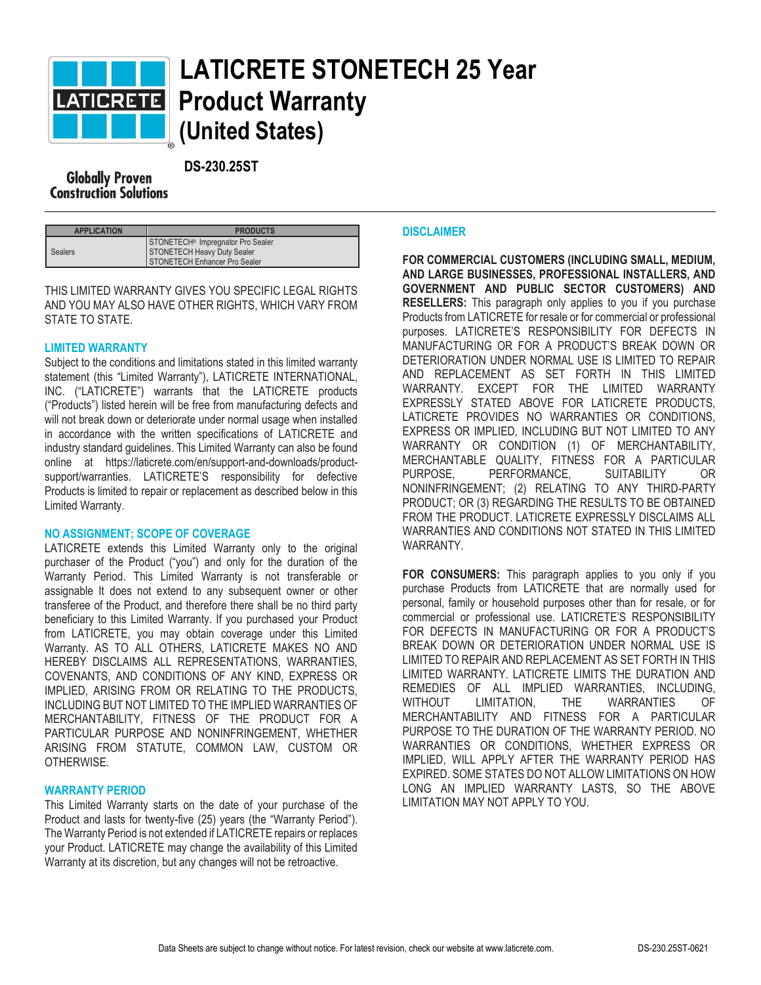

# **LATICRETE STONETECH 25 Year Product Warranty (United States)**

 **DS-230.25ST Construction Solutions** 

| <b>APPLICATION</b> | <b>PRODUCTS</b>                                                                                               |
|--------------------|---------------------------------------------------------------------------------------------------------------|
| <b>Sealers</b>     | STONETECH <sup>®</sup> Impregnator Pro Sealer<br>STONETECH Heavy Duty Sealer<br>STONETECH Enhancer Pro Sealer |

THIS LIMITED WARRANTY GIVES YOU SPECIFIC LEGAL RIGHTS AND YOU MAY ALSO HAVE OTHER RIGHTS, WHICH VARY FROM STATE TO STATE.

### **LIMITED WARRANTY**

Subject to the conditions and limitations stated in this limited warranty statement (this "Limited Warranty"), LATICRETE INTERNATIONAL, INC. ("LATICRETE") warrants that the LATICRETE products ("Products") listed herein will be free from manufacturing defects and will not break down or deteriorate under normal usage when installed in accordance with the written specifications of LATICRETE and industry standard guidelines. This Limited Warranty can also be found online at https://laticrete.com/en/support-and-downloads/productsupport/warranties. LATICRETE'S responsibility for defective Products is limited to repair or replacement as described below in this Limited Warranty.

### **NO ASSIGNMENT; SCOPE OF COVERAGE**

LATICRETE extends this Limited Warranty only to the original purchaser of the Product ("you") and only for the duration of the Warranty Period. This Limited Warranty is not transferable or assignable It does not extend to any subsequent owner or other transferee of the Product, and therefore there shall be no third party beneficiary to this Limited Warranty. If you purchased your Product from LATICRETE, you may obtain coverage under this Limited Warranty. AS TO ALL OTHERS, LATICRETE MAKES NO AND HEREBY DISCLAIMS ALL REPRESENTATIONS, WARRANTIES, COVENANTS, AND CONDITIONS OF ANY KIND, EXPRESS OR IMPLIED, ARISING FROM OR RELATING TO THE PRODUCTS, INCLUDING BUT NOT LIMITED TO THE IMPLIED WARRANTIES OF MERCHANTABILITY, FITNESS OF THE PRODUCT FOR A PARTICULAR PURPOSE AND NONINFRINGEMENT, WHETHER ARISING FROM STATUTE, COMMON LAW, CUSTOM OR OTHERWISE.

### **WARRANTY PERIOD**

This Limited Warranty starts on the date of your purchase of the Product and lasts for twenty-five (25) years (the "Warranty Period"). The Warranty Period is not extended if LATICRETE repairs or replaces your Product. LATICRETE may change the availability of this Limited Warranty at its discretion, but any changes will not be retroactive.

#### **DISCLAIMER**

**FOR COMMERCIAL CUSTOMERS (INCLUDING SMALL, MEDIUM, AND LARGE BUSINESSES, PROFESSIONAL INSTALLERS, AND GOVERNMENT AND PUBLIC SECTOR CUSTOMERS) AND RESELLERS:** This paragraph only applies to you if you purchase Products from LATICRETE for resale or for commercial or professional purposes. LATICRETE'S RESPONSIBILITY FOR DEFECTS IN MANUFACTURING OR FOR A PRODUCT'S BREAK DOWN OR DETERIORATION UNDER NORMAL USE IS LIMITED TO REPAIR AND REPLACEMENT AS SET FORTH IN THIS LIMITED WARRANTY. EXCEPT FOR THE LIMITED WARRANTY EXPRESSLY STATED ABOVE FOR LATICRETE PRODUCTS, LATICRETE PROVIDES NO WARRANTIES OR CONDITIONS, EXPRESS OR IMPLIED, INCLUDING BUT NOT LIMITED TO ANY WARRANTY OR CONDITION (1) OF MERCHANTABILITY, MERCHANTABLE QUALITY, FITNESS FOR A PARTICULAR PURPOSE, PERFORMANCE, SUITABILITY OR NONINFRINGEMENT; (2) RELATING TO ANY THIRD-PARTY PRODUCT; OR (3) REGARDING THE RESULTS TO BE OBTAINED FROM THE PRODUCT. LATICRETE EXPRESSLY DISCLAIMS ALL WARRANTIES AND CONDITIONS NOT STATED IN THIS LIMITED WARRANTY.

**FOR CONSUMERS:** This paragraph applies to you only if you purchase Products from LATICRETE that are normally used for personal, family or household purposes other than for resale, or for commercial or professional use. LATICRETE'S RESPONSIBILITY FOR DEFECTS IN MANUFACTURING OR FOR A PRODUCT'S BREAK DOWN OR DETERIORATION UNDER NORMAL USE IS LIMITED TO REPAIR AND REPLACEMENT AS SET FORTH IN THIS LIMITED WARRANTY. LATICRETE LIMITS THE DURATION AND REMEDIES OF ALL IMPLIED WARRANTIES, INCLUDING, WITHOUT LIMITATION, THE WARRANTIES OF MERCHANTABILITY AND FITNESS FOR A PARTICULAR PURPOSE TO THE DURATION OF THE WARRANTY PERIOD. NO WARRANTIES OR CONDITIONS, WHETHER EXPRESS OR IMPLIED, WILL APPLY AFTER THE WARRANTY PERIOD HAS EXPIRED. SOME STATES DO NOT ALLOW LIMITATIONS ON HOW LONG AN IMPLIED WARRANTY LASTS, SO THE ABOVE LIMITATION MAY NOT APPLY TO YOU.